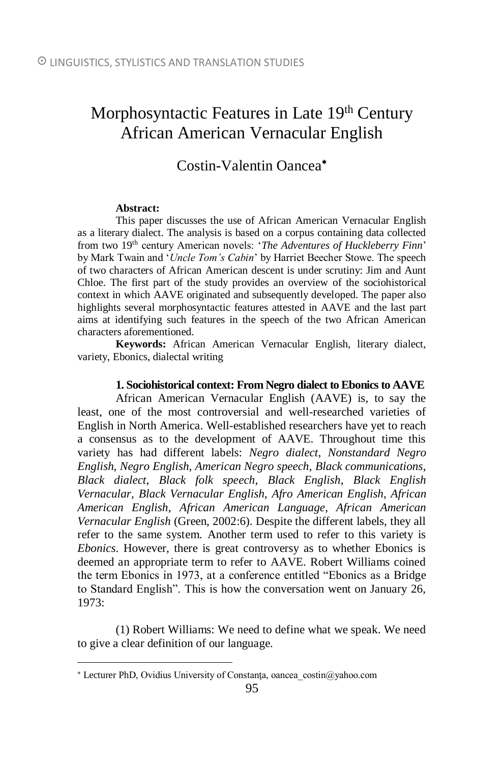# Morphosyntactic Features in Late 19<sup>th</sup> Century African American Vernacular English

# Costin-Valentin Oancea

#### **Abstract:**

 $\overline{a}$ 

This paper discusses the use of African American Vernacular English as a literary dialect. The analysis is based on a corpus containing data collected from two 19th century American novels: '*The Adventures of Huckleberry Finn*' by Mark Twain and '*Uncle Tom's Cabin*' by Harriet Beecher Stowe. The speech of two characters of African American descent is under scrutiny: Jim and Aunt Chloe. The first part of the study provides an overview of the sociohistorical context in which AAVE originated and subsequently developed. The paper also highlights several morphosyntactic features attested in AAVE and the last part aims at identifying such features in the speech of the two African American characters aforementioned.

**Keywords:** African American Vernacular English, literary dialect, variety, Ebonics, dialectal writing

# **1. Sociohistorical context: From Negro dialect to Ebonics to AAVE**

African American Vernacular English (AAVE) is, to say the least, one of the most controversial and well-researched varieties of English in North America. Well-established researchers have yet to reach a consensus as to the development of AAVE. Throughout time this variety has had different labels: *Negro dialect*, *Nonstandard Negro English*, *Negro English*, *American Negro speech*, *Black communications*, *Black dialect*, *Black folk speech*, *Black English*, *Black English Vernacular*, *Black Vernacular English*, *Afro American English*, *African American English*, *African American Language*, *African American Vernacular English* (Green, 2002:6). Despite the different labels, they all refer to the same system. Another term used to refer to this variety is *Ebonics*. However, there is great controversy as to whether Ebonics is deemed an appropriate term to refer to AAVE. Robert Williams coined the term Ebonics in 1973, at a conference entitled "Ebonics as a Bridge to Standard English". This is how the conversation went on January 26, 1973:

(1) Robert Williams: We need to define what we speak. We need to give a clear definition of our language.

<sup>\*</sup> Lecturer PhD, Ovidius University of Constanta, oancea\_costin@yahoo.com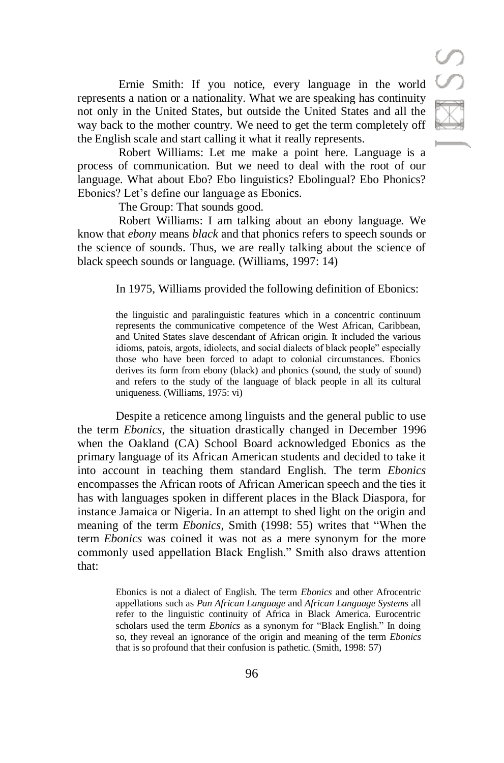Ernie Smith: If you notice, every language in the world represents a nation or a nationality. What we are speaking has continuity not only in the United States, but outside the United States and all the way back to the mother country. We need to get the term completely off the English scale and start calling it what it really represents.

Robert Williams: Let me make a point here. Language is a process of communication. But we need to deal with the root of our language. What about Ebo? Ebo linguistics? Ebolingual? Ebo Phonics? Ebonics? Let's define our language as Ebonics.

The Group: That sounds good.

Robert Williams: I am talking about an ebony language. We know that *ebony* means *black* and that phonics refers to speech sounds or the science of sounds. Thus, we are really talking about the science of black speech sounds or language. (Williams, 1997: 14)

In 1975, Williams provided the following definition of Ebonics:

the linguistic and paralinguistic features which in a concentric continuum represents the communicative competence of the West African, Caribbean, and United States slave descendant of African origin. It included the various idioms, patois, argots, idiolects, and social dialects of black people" especially those who have been forced to adapt to colonial circumstances. Ebonics derives its form from ebony (black) and phonics (sound, the study of sound) and refers to the study of the language of black people in all its cultural uniqueness. (Williams, 1975: vi)

Despite a reticence among linguists and the general public to use the term *Ebonics*, the situation drastically changed in December 1996 when the Oakland (CA) School Board acknowledged Ebonics as the primary language of its African American students and decided to take it into account in teaching them standard English. The term *Ebonics* encompasses the African roots of African American speech and the ties it has with languages spoken in different places in the Black Diaspora, for instance Jamaica or Nigeria. In an attempt to shed light on the origin and meaning of the term *Ebonics*, Smith (1998: 55) writes that "When the term *Ebonics* was coined it was not as a mere synonym for the more commonly used appellation Black English." Smith also draws attention that:

> Ebonics is not a dialect of English. The term *Ebonics* and other Afrocentric appellations such as *Pan African Language* and *African Language Systems* all refer to the linguistic continuity of Africa in Black America. Eurocentric scholars used the term *Ebonics* as a synonym for "Black English." In doing so, they reveal an ignorance of the origin and meaning of the term *Ebonics* that is so profound that their confusion is pathetic. (Smith, 1998: 57)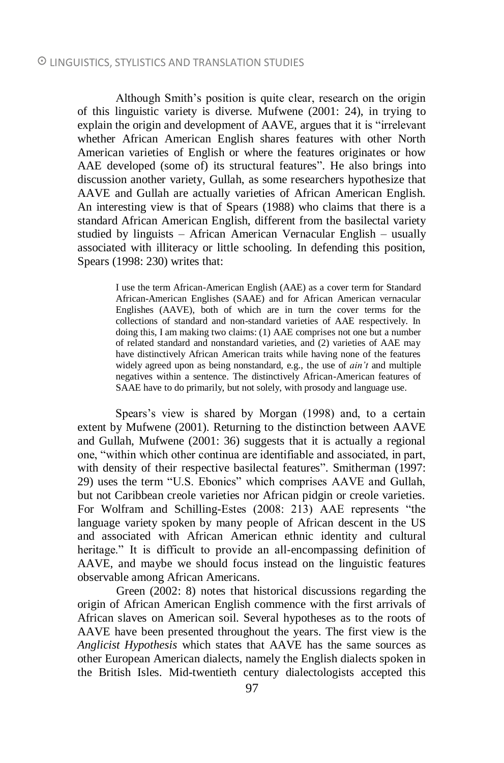Although Smith's position is quite clear, research on the origin of this linguistic variety is diverse. Mufwene (2001: 24), in trying to explain the origin and development of AAVE, argues that it is "irrelevant whether African American English shares features with other North American varieties of English or where the features originates or how AAE developed (some of) its structural features". He also brings into discussion another variety, Gullah, as some researchers hypothesize that AAVE and Gullah are actually varieties of African American English. An interesting view is that of Spears (1988) who claims that there is a standard African American English, different from the basilectal variety studied by linguists – African American Vernacular English – usually associated with illiteracy or little schooling. In defending this position, Spears (1998: 230) writes that:

> I use the term African-American English (AAE) as a cover term for Standard African-American Englishes (SAAE) and for African American vernacular Englishes (AAVE), both of which are in turn the cover terms for the collections of standard and non-standard varieties of AAE respectively. In doing this, I am making two claims: (1) AAE comprises not one but a number of related standard and nonstandard varieties, and (2) varieties of AAE may have distinctively African American traits while having none of the features widely agreed upon as being nonstandard, e.g., the use of *ain't* and multiple negatives within a sentence. The distinctively African-American features of SAAE have to do primarily, but not solely, with prosody and language use.

Spears's view is shared by Morgan (1998) and, to a certain extent by Mufwene (2001). Returning to the distinction between AAVE and Gullah, Mufwene (2001: 36) suggests that it is actually a regional one, "within which other continua are identifiable and associated, in part, with density of their respective basilectal features". Smitherman (1997: 29) uses the term "U.S. Ebonics" which comprises AAVE and Gullah, but not Caribbean creole varieties nor African pidgin or creole varieties. For Wolfram and Schilling-Estes (2008: 213) AAE represents "the language variety spoken by many people of African descent in the US and associated with African American ethnic identity and cultural heritage." It is difficult to provide an all-encompassing definition of AAVE, and maybe we should focus instead on the linguistic features observable among African Americans.

Green (2002: 8) notes that historical discussions regarding the origin of African American English commence with the first arrivals of African slaves on American soil. Several hypotheses as to the roots of AAVE have been presented throughout the years. The first view is the *Anglicist Hypothesis* which states that AAVE has the same sources as other European American dialects, namely the English dialects spoken in the British Isles. Mid-twentieth century dialectologists accepted this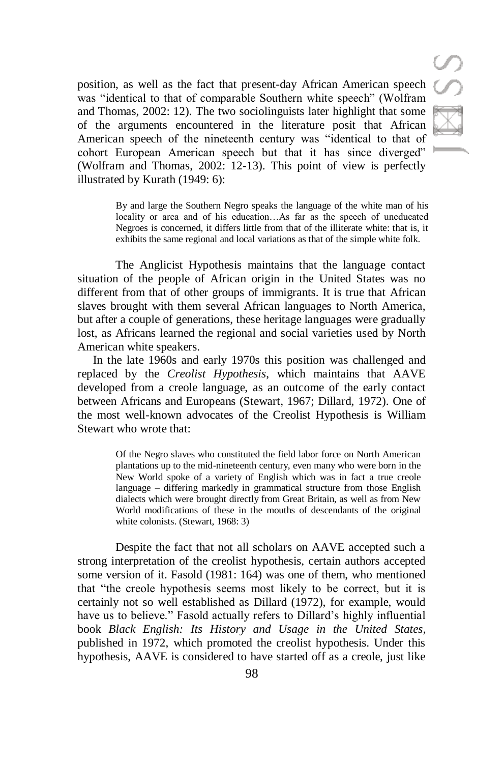position, as well as the fact that present-day African American speech was "identical to that of comparable Southern white speech" (Wolfram and Thomas, 2002: 12). The two sociolinguists later highlight that some of the arguments encountered in the literature posit that African American speech of the nineteenth century was "identical to that of cohort European American speech but that it has since diverged" (Wolfram and Thomas, 2002: 12-13). This point of view is perfectly illustrated by Kurath (1949: 6):

> By and large the Southern Negro speaks the language of the white man of his locality or area and of his education…As far as the speech of uneducated Negroes is concerned, it differs little from that of the illiterate white: that is, it exhibits the same regional and local variations as that of the simple white folk.

The Anglicist Hypothesis maintains that the language contact situation of the people of African origin in the United States was no different from that of other groups of immigrants. It is true that African slaves brought with them several African languages to North America, but after a couple of generations, these heritage languages were gradually lost, as Africans learned the regional and social varieties used by North American white speakers.

In the late 1960s and early 1970s this position was challenged and replaced by the *Creolist Hypothesis*, which maintains that AAVE developed from a creole language, as an outcome of the early contact between Africans and Europeans (Stewart, 1967; Dillard, 1972). One of the most well-known advocates of the Creolist Hypothesis is William Stewart who wrote that:

> Of the Negro slaves who constituted the field labor force on North American plantations up to the mid-nineteenth century, even many who were born in the New World spoke of a variety of English which was in fact a true creole language – differing markedly in grammatical structure from those English dialects which were brought directly from Great Britain, as well as from New World modifications of these in the mouths of descendants of the original white colonists. (Stewart, 1968: 3)

Despite the fact that not all scholars on AAVE accepted such a strong interpretation of the creolist hypothesis, certain authors accepted some version of it. Fasold (1981: 164) was one of them, who mentioned that "the creole hypothesis seems most likely to be correct, but it is certainly not so well established as Dillard (1972), for example, would have us to believe." Fasold actually refers to Dillard's highly influential book *Black English: Its History and Usage in the United States*, published in 1972, which promoted the creolist hypothesis. Under this hypothesis, AAVE is considered to have started off as a creole, just like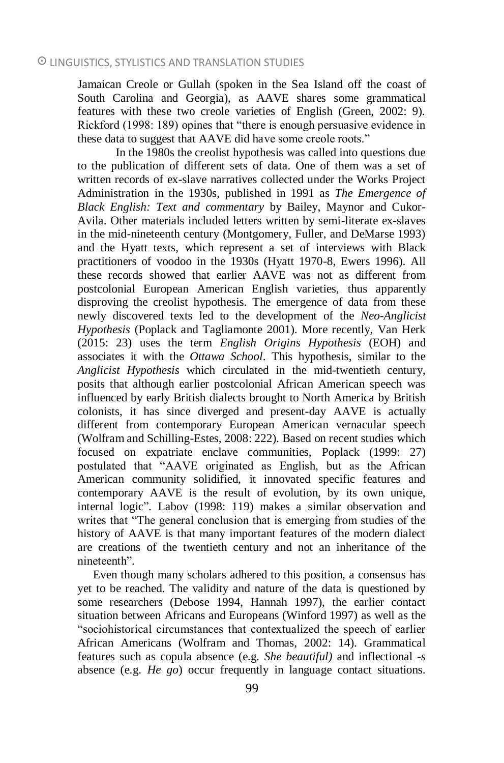Jamaican Creole or Gullah (spoken in the Sea Island off the coast of South Carolina and Georgia), as AAVE shares some grammatical features with these two creole varieties of English (Green, 2002: 9). Rickford (1998: 189) opines that "there is enough persuasive evidence in these data to suggest that AAVE did have some creole roots."

In the 1980s the creolist hypothesis was called into questions due to the publication of different sets of data. One of them was a set of written records of ex-slave narratives collected under the Works Project Administration in the 1930s, published in 1991 as *The Emergence of Black English: Text and commentary* by Bailey, Maynor and Cukor-Avila. Other materials included letters written by semi-literate ex-slaves in the mid-nineteenth century (Montgomery, Fuller, and DeMarse 1993) and the Hyatt texts, which represent a set of interviews with Black practitioners of voodoo in the 1930s (Hyatt 1970-8, Ewers 1996). All these records showed that earlier AAVE was not as different from postcolonial European American English varieties, thus apparently disproving the creolist hypothesis. The emergence of data from these newly discovered texts led to the development of the *Neo-Anglicist Hypothesis* (Poplack and Tagliamonte 2001). More recently, Van Herk (2015: 23) uses the term *English Origins Hypothesis* (EOH) and associates it with the *Ottawa School*. This hypothesis, similar to the *Anglicist Hypothesis* which circulated in the mid-twentieth century, posits that although earlier postcolonial African American speech was influenced by early British dialects brought to North America by British colonists, it has since diverged and present-day AAVE is actually different from contemporary European American vernacular speech (Wolfram and Schilling-Estes, 2008: 222). Based on recent studies which focused on expatriate enclave communities, Poplack (1999: 27) postulated that "AAVE originated as English, but as the African American community solidified, it innovated specific features and contemporary AAVE is the result of evolution, by its own unique, internal logic". Labov (1998: 119) makes a similar observation and writes that "The general conclusion that is emerging from studies of the history of AAVE is that many important features of the modern dialect are creations of the twentieth century and not an inheritance of the nineteenth".

Even though many scholars adhered to this position, a consensus has yet to be reached. The validity and nature of the data is questioned by some researchers (Debose 1994, Hannah 1997), the earlier contact situation between Africans and Europeans (Winford 1997) as well as the "sociohistorical circumstances that contextualized the speech of earlier African Americans (Wolfram and Thomas, 2002: 14). Grammatical features such as copula absence (e.g. *She beautiful)* and inflectional -*s* absence (e.g. *He go*) occur frequently in language contact situations.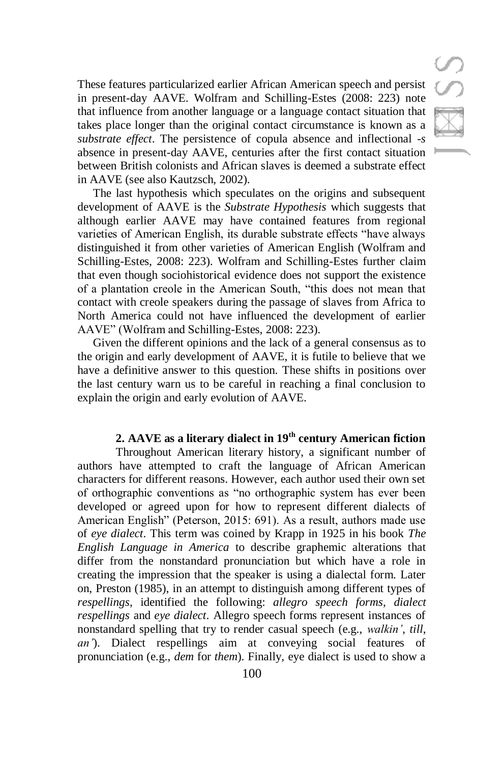These features particularized earlier African American speech and persist in present-day AAVE. Wolfram and Schilling-Estes (2008: 223) note that influence from another language or a language contact situation that takes place longer than the original contact circumstance is known as a *substrate effect*. The persistence of copula absence and inflectional *-s* absence in present-day AAVE, centuries after the first contact situation between British colonists and African slaves is deemed a substrate effect in AAVE (see also Kautzsch, 2002).

The last hypothesis which speculates on the origins and subsequent development of AAVE is the *Substrate Hypothesis* which suggests that although earlier AAVE may have contained features from regional varieties of American English, its durable substrate effects "have always distinguished it from other varieties of American English (Wolfram and Schilling-Estes, 2008: 223). Wolfram and Schilling-Estes further claim that even though sociohistorical evidence does not support the existence of a plantation creole in the American South, "this does not mean that contact with creole speakers during the passage of slaves from Africa to North America could not have influenced the development of earlier AAVE" (Wolfram and Schilling-Estes, 2008: 223).

Given the different opinions and the lack of a general consensus as to the origin and early development of AAVE, it is futile to believe that we have a definitive answer to this question. These shifts in positions over the last century warn us to be careful in reaching a final conclusion to explain the origin and early evolution of AAVE.

# **2. AAVE as a literary dialect in 19th century American fiction**

Throughout American literary history, a significant number of authors have attempted to craft the language of African American characters for different reasons. However, each author used their own set of orthographic conventions as "no orthographic system has ever been developed or agreed upon for how to represent different dialects of American English" (Peterson, 2015: 691). As a result, authors made use of *eye dialect*. This term was coined by Krapp in 1925 in his book *The English Language in America* to describe graphemic alterations that differ from the nonstandard pronunciation but which have a role in creating the impression that the speaker is using a dialectal form. Later on, Preston (1985), in an attempt to distinguish among different types of *respellings*, identified the following: *allegro speech forms*, *dialect respellings* and *eye dialect*. Allegro speech forms represent instances of nonstandard spelling that try to render casual speech (e.g., *walkin'*, *till*, *an'*). Dialect respellings aim at conveying social features of pronunciation (e.g., *dem* for *them*). Finally, eye dialect is used to show a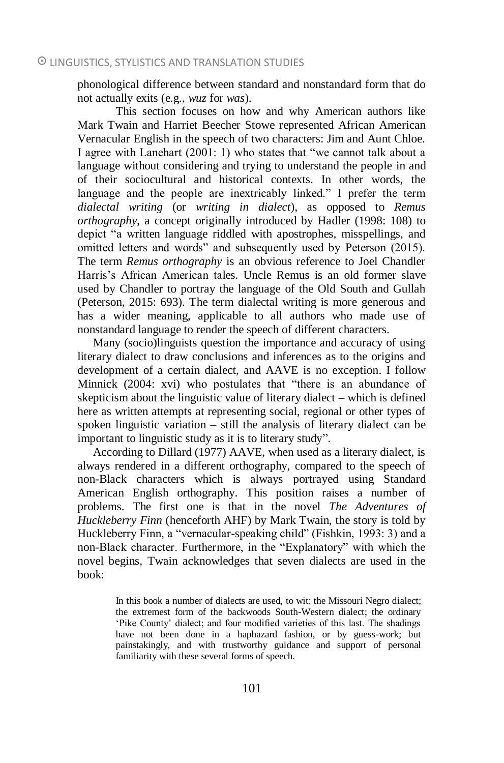phonological difference between standard and nonstandard form that do not actually exits (e.g., *wuz* for *was*).

This section focuses on how and why American authors like Mark Twain and Harriet Beecher Stowe represented African American Vernacular English in the speech of two characters: Jim and Aunt Chloe. I agree with Lanehart (2001: 1) who states that "we cannot talk about a language without considering and trying to understand the people in and of their sociocultural and historical contexts. In other words, the language and the people are inextricably linked." I prefer the term *dialectal writing* (or *writing in dialect*), as opposed to *Remus orthography*, a concept originally introduced by Hadler (1998: 108) to depict "a written language riddled with apostrophes, misspellings, and omitted letters and words" and subsequently used by Peterson (2015). The term *Remus orthography* is an obvious reference to Joel Chandler Harris's African American tales. Uncle Remus is an old former slave used by Chandler to portray the language of the Old South and Gullah (Peterson, 2015: 693). The term dialectal writing is more generous and has a wider meaning, applicable to all authors who made use of nonstandard language to render the speech of different characters.

Many (socio)linguists question the importance and accuracy of using literary dialect to draw conclusions and inferences as to the origins and development of a certain dialect, and AAVE is no exception. I follow Minnick (2004: xvi) who postulates that "there is an abundance of skepticism about the linguistic value of literary dialect – which is defined here as written attempts at representing social, regional or other types of spoken linguistic variation – still the analysis of literary dialect can be important to linguistic study as it is to literary study".

According to Dillard (1977) AAVE, when used as a literary dialect, is always rendered in a different orthography, compared to the speech of non-Black characters which is always portrayed using Standard American English orthography. This position raises a number of problems. The first one is that in the novel *The Adventures of Huckleberry Finn* (henceforth AHF) by Mark Twain, the story is told by Huckleberry Finn, a "vernacular-speaking child" (Fishkin, 1993: 3) and a non-Black character. Furthermore, in the "Explanatory" with which the novel begins, Twain acknowledges that seven dialects are used in the book:

> In this book a number of dialects are used, to wit: the Missouri Negro dialect; the extremest form of the backwoods South-Western dialect; the ordinary 'Pike County' dialect; and four modified varieties of this last. The shadings have not been done in a haphazard fashion, or by guess-work; but painstakingly, and with trustworthy guidance and support of personal familiarity with these several forms of speech.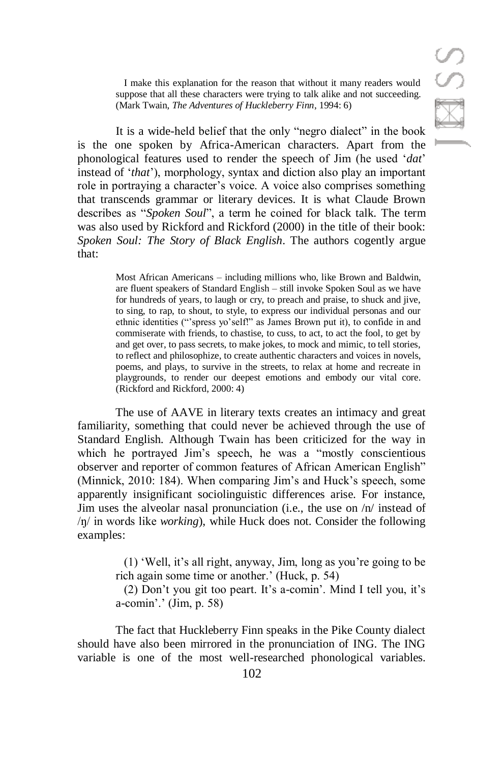**SSR** 

I make this explanation for the reason that without it many readers would suppose that all these characters were trying to talk alike and not succeeding. (Mark Twain, *The Adventures of Huckleberry Finn*, 1994: 6)

It is a wide-held belief that the only "negro dialect" in the book is the one spoken by Africa-American characters. Apart from the phonological features used to render the speech of Jim (he used '*dat*' instead of '*that*'), morphology, syntax and diction also play an important role in portraying a character's voice. A voice also comprises something that transcends grammar or literary devices. It is what Claude Brown describes as "*Spoken Soul*", a term he coined for black talk. The term was also used by Rickford and Rickford (2000) in the title of their book: *Spoken Soul: The Story of Black English*. The authors cogently argue that:

> Most African Americans – including millions who, like Brown and Baldwin, are fluent speakers of Standard English – still invoke Spoken Soul as we have for hundreds of years, to laugh or cry, to preach and praise, to shuck and jive, to sing, to rap, to shout, to style, to express our individual personas and our ethnic identities ("'spress yo'self!" as James Brown put it), to confide in and commiserate with friends, to chastise, to cuss, to act, to act the fool, to get by and get over, to pass secrets, to make jokes, to mock and mimic, to tell stories, to reflect and philosophize, to create authentic characters and voices in novels, poems, and plays, to survive in the streets, to relax at home and recreate in playgrounds, to render our deepest emotions and embody our vital core. (Rickford and Rickford, 2000: 4)

The use of AAVE in literary texts creates an intimacy and great familiarity, something that could never be achieved through the use of Standard English. Although Twain has been criticized for the way in which he portrayed Jim's speech, he was a "mostly conscientious" observer and reporter of common features of African American English" (Minnick, 2010: 184). When comparing Jim's and Huck's speech, some apparently insignificant sociolinguistic differences arise. For instance, Jim uses the alveolar nasal pronunciation (i.e., the use on /n/ instead of /ŋ/ in words like *working*), while Huck does not. Consider the following examples:

> (1) 'Well, it's all right, anyway, Jim, long as you're going to be rich again some time or another.' (Huck, p. 54)

> (2) Don't you git too peart. It's a-comin'. Mind I tell you, it's a-comin'.' (Jim, p. 58)

The fact that Huckleberry Finn speaks in the Pike County dialect should have also been mirrored in the pronunciation of ING. The ING variable is one of the most well-researched phonological variables.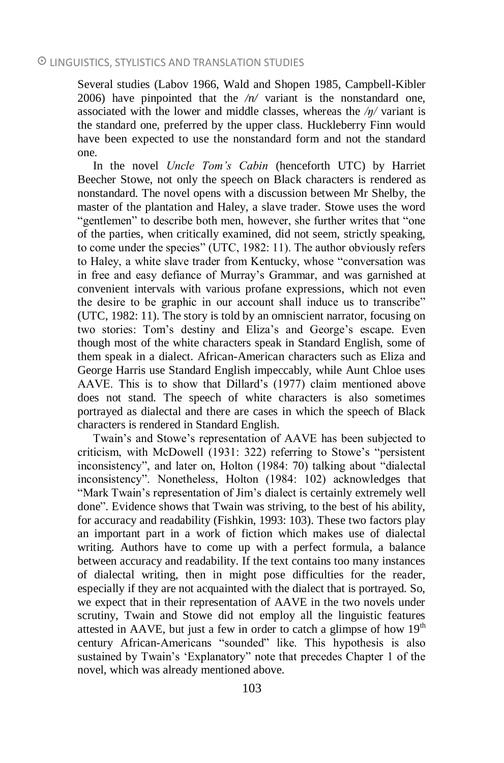Several studies (Labov 1966, Wald and Shopen 1985, Campbell-Kibler 2006) have pinpointed that the */n/* variant is the nonstandard one, associated with the lower and middle classes, whereas the */ŋ/* variant is the standard one, preferred by the upper class. Huckleberry Finn would have been expected to use the nonstandard form and not the standard one.

In the novel *Uncle Tom's Cabin* (henceforth UTC) by Harriet Beecher Stowe, not only the speech on Black characters is rendered as nonstandard. The novel opens with a discussion between Mr Shelby, the master of the plantation and Haley, a slave trader. Stowe uses the word "gentlemen" to describe both men, however, she further writes that "one of the parties, when critically examined, did not seem, strictly speaking, to come under the species" (UTC, 1982: 11). The author obviously refers to Haley, a white slave trader from Kentucky, whose "conversation was in free and easy defiance of Murray's Grammar, and was garnished at convenient intervals with various profane expressions, which not even the desire to be graphic in our account shall induce us to transcribe" (UTC, 1982: 11). The story is told by an omniscient narrator, focusing on two stories: Tom's destiny and Eliza's and George's escape. Even though most of the white characters speak in Standard English, some of them speak in a dialect. African-American characters such as Eliza and George Harris use Standard English impeccably, while Aunt Chloe uses AAVE. This is to show that Dillard's (1977) claim mentioned above does not stand. The speech of white characters is also sometimes portrayed as dialectal and there are cases in which the speech of Black characters is rendered in Standard English.

Twain's and Stowe's representation of AAVE has been subjected to criticism, with McDowell (1931: 322) referring to Stowe's "persistent inconsistency", and later on, Holton (1984: 70) talking about "dialectal inconsistency". Nonetheless, Holton (1984: 102) acknowledges that "Mark Twain's representation of Jim's dialect is certainly extremely well done". Evidence shows that Twain was striving, to the best of his ability, for accuracy and readability (Fishkin, 1993: 103). These two factors play an important part in a work of fiction which makes use of dialectal writing. Authors have to come up with a perfect formula, a balance between accuracy and readability. If the text contains too many instances of dialectal writing, then in might pose difficulties for the reader, especially if they are not acquainted with the dialect that is portrayed. So, we expect that in their representation of AAVE in the two novels under scrutiny, Twain and Stowe did not employ all the linguistic features attested in AAVE, but just a few in order to catch a glimpse of how  $19<sup>th</sup>$ century African-Americans "sounded" like. This hypothesis is also sustained by Twain's 'Explanatory" note that precedes Chapter 1 of the novel, which was already mentioned above.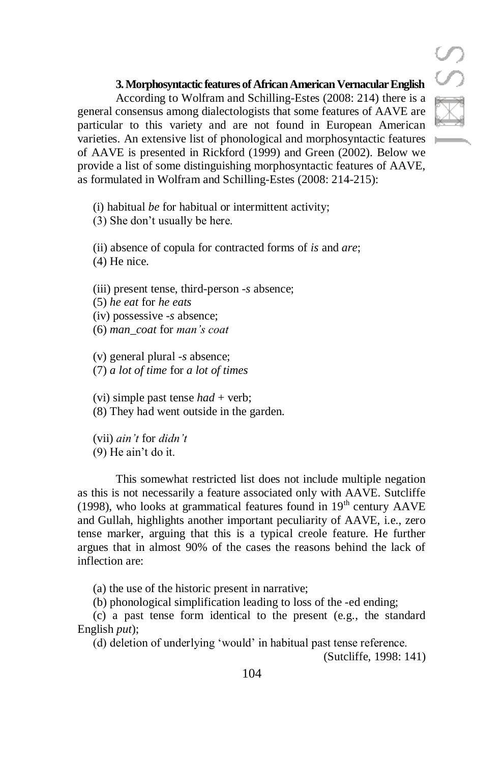# **3. Morphosyntactic features of African American Vernacular English**

According to Wolfram and Schilling-Estes (2008: 214) there is a general consensus among dialectologists that some features of AAVE are particular to this variety and are not found in European American varieties. An extensive list of phonological and morphosyntactic features of AAVE is presented in Rickford (1999) and Green (2002). Below we provide a list of some distinguishing morphosyntactic features of AAVE, as formulated in Wolfram and Schilling-Estes (2008: 214-215):

(i) habitual *be* for habitual or intermittent activity;

(3) She don't usually be here.

(ii) absence of copula for contracted forms of *is* and *are*; (4) He nice.

(iii) present tense, third-person -*s* absence;

(5) *he eat* for *he eats*

(iv) possessive -*s* absence;

(6) *man\_coat* for *man's coat*

(v) general plural -*s* absence; (7) *a lot of time* for *a lot of times*

(vi) simple past tense *had* + verb;

(8) They had went outside in the garden.

(vii) *ain't* for *didn't* (9) He ain't do it.

This somewhat restricted list does not include multiple negation as this is not necessarily a feature associated only with AAVE. Sutcliffe (1998), who looks at grammatical features found in  $19<sup>th</sup>$  century  $AAVE$ and Gullah, highlights another important peculiarity of AAVE, i.e., zero tense marker, arguing that this is a typical creole feature. He further argues that in almost 90% of the cases the reasons behind the lack of inflection are:

(a) the use of the historic present in narrative;

(b) phonological simplification leading to loss of the -ed ending;

(c) a past tense form identical to the present (e.g., the standard English *put*);

(d) deletion of underlying 'would' in habitual past tense reference.

(Sutcliffe, 1998: 141)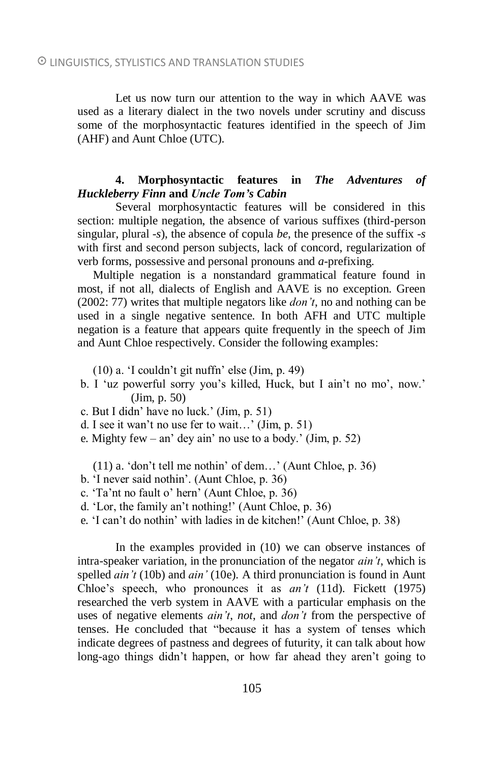Let us now turn our attention to the way in which AAVE was used as a literary dialect in the two novels under scrutiny and discuss some of the morphosyntactic features identified in the speech of Jim (AHF) and Aunt Chloe (UTC).

# **4. Morphosyntactic features in** *The Adventures of Huckleberry Finn* **and** *Uncle Tom's Cabin*

Several morphosyntactic features will be considered in this section: multiple negation, the absence of various suffixes (third-person singular, plural -*s*), the absence of copula *be*, the presence of the suffix -*s* with first and second person subjects, lack of concord, regularization of verb forms, possessive and personal pronouns and *a*-prefixing.

Multiple negation is a nonstandard grammatical feature found in most, if not all, dialects of English and AAVE is no exception. Green (2002: 77) writes that multiple negators like *don't*, no and nothing can be used in a single negative sentence. In both AFH and UTC multiple negation is a feature that appears quite frequently in the speech of Jim and Aunt Chloe respectively. Consider the following examples:

(10) a. 'I couldn't git nuffn' else (Jim, p. 49)

- b. I 'uz powerful sorry you's killed, Huck, but I ain't no mo', now.' (Jim, p. 50)
- c. But I didn' have no luck.' (Jim, p. 51)
- d. I see it wan't no use fer to wait…' (Jim, p. 51)
- e. Mighty few an' dey ain' no use to a body.' (Jim, p. 52)

(11) a. 'don't tell me nothin' of dem…' (Aunt Chloe, p. 36)

- b. 'I never said nothin'. (Aunt Chloe, p. 36)
- c. 'Ta'nt no fault o' hern' (Aunt Chloe, p. 36)
- d. 'Lor, the family an't nothing!' (Aunt Chloe, p. 36)
- e. 'I can't do nothin' with ladies in de kitchen!' (Aunt Chloe, p. 38)

In the examples provided in (10) we can observe instances of intra-speaker variation, in the pronunciation of the negator *ain't*, which is spelled *ain't* (10b) and *ain'* (10e). A third pronunciation is found in Aunt Chloe's speech, who pronounces it as *an't* (11d). Fickett (1975) researched the verb system in AAVE with a particular emphasis on the uses of negative elements *ain't*, *not*, and *don't* from the perspective of tenses. He concluded that "because it has a system of tenses which indicate degrees of pastness and degrees of futurity, it can talk about how long-ago things didn't happen, or how far ahead they aren't going to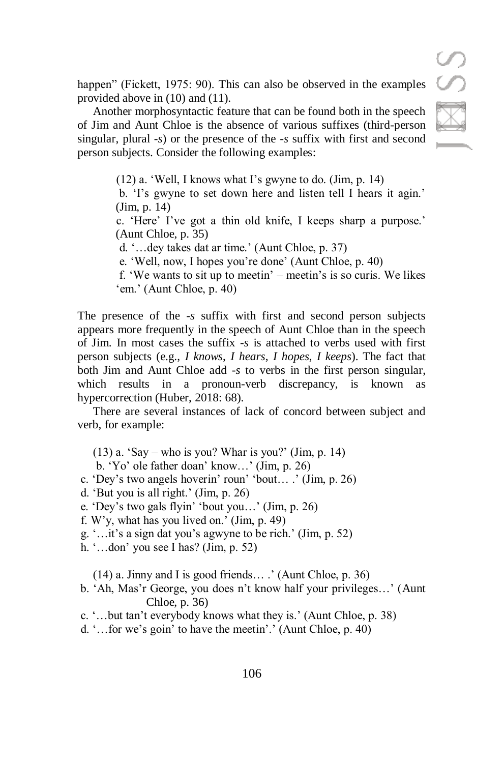happen" (Fickett, 1975: 90). This can also be observed in the examples provided above in (10) and (11).

Another morphosyntactic feature that can be found both in the speech of Jim and Aunt Chloe is the absence of various suffixes (third-person singular, plural -*s*) or the presence of the -*s* suffix with first and second person subjects. Consider the following examples:

> (12) a. 'Well, I knows what I's gwyne to do. (Jim, p. 14) b. 'I's gwyne to set down here and listen tell I hears it agin.'

(Jim, p. 14)

c. 'Here' I've got a thin old knife, I keeps sharp a purpose.' (Aunt Chloe, p. 35)

d. '…dey takes dat ar time.' (Aunt Chloe, p. 37)

e. 'Well, now, I hopes you're done' (Aunt Chloe, p. 40)

f. 'We wants to sit up to meetin' – meetin's is so curis. We likes 'em.' (Aunt Chloe, p. 40)

The presence of the *-s* suffix with first and second person subjects appears more frequently in the speech of Aunt Chloe than in the speech of Jim. In most cases the suffix -*s* is attached to verbs used with first person subjects (e.g., *I knows*, *I hears*, *I hopes*, *I keeps*). The fact that both Jim and Aunt Chloe add -*s* to verbs in the first person singular, which results in a pronoun-verb discrepancy, is known as hypercorrection (Huber, 2018: 68).

There are several instances of lack of concord between subject and verb, for example:

 $(13)$  a. 'Say – who is you? Whar is you?' (Jim, p. 14)

b. 'Yo' ole father doan' know…' (Jim, p. 26)

c. 'Dey's two angels hoverin' roun' 'bout… .' (Jim, p. 26)

d. 'But you is all right.' (Jim, p. 26)

- e. 'Dey's two gals flyin' 'bout you…' (Jim, p. 26)
- f. W'y, what has you lived on.' (Jim, p. 49)
- g. '…it's a sign dat you's agwyne to be rich.' (Jim, p. 52)
- h. '…don' you see I has? (Jim, p. 52)

(14) a. Jinny and I is good friends… .' (Aunt Chloe, p. 36)

b. 'Ah, Mas'r George, you does n't know half your privileges…' (Aunt Chloe, p. 36)

c. '…but tan't everybody knows what they is.' (Aunt Chloe, p. 38)

d. '…for we's goin' to have the meetin'.' (Aunt Chloe, p. 40)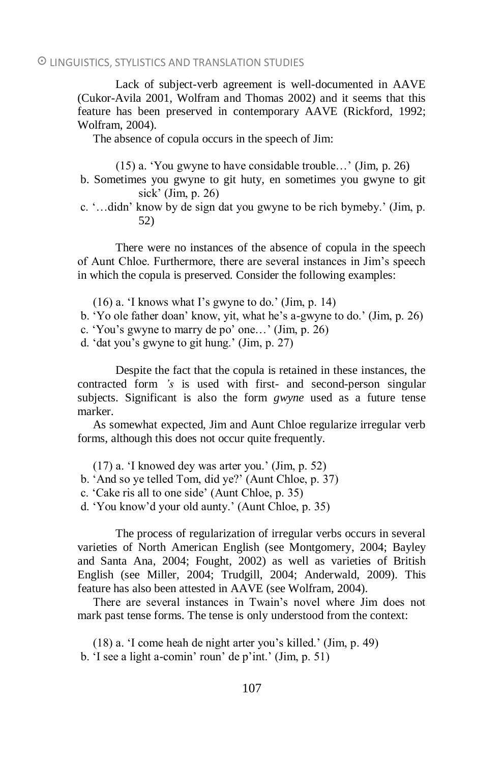Lack of subject-verb agreement is well-documented in AAVE (Cukor-Avila 2001, Wolfram and Thomas 2002) and it seems that this feature has been preserved in contemporary AAVE (Rickford, 1992; Wolfram, 2004).

The absence of copula occurs in the speech of Jim:

(15) a. 'You gwyne to have considable trouble…' (Jim, p. 26)

- b. Sometimes you gwyne to git huty, en sometimes you gwyne to git sick' (Jim, p. 26)
- c. '…didn' know by de sign dat you gwyne to be rich bymeby.' (Jim, p. 52)

There were no instances of the absence of copula in the speech of Aunt Chloe. Furthermore, there are several instances in Jim's speech in which the copula is preserved. Consider the following examples:

- (16) a. 'I knows what I's gwyne to do.' (Jim, p. 14)
- b. 'Yo ole father doan' know, yit, what he's a-gwyne to do.' (Jim, p. 26)
- c. 'You's gwyne to marry de po' one…' (Jim, p. 26)
- d. 'dat you's gwyne to git hung.' (Jim, p. 27)

Despite the fact that the copula is retained in these instances, the contracted form *'s* is used with first- and second-person singular subjects. Significant is also the form *gwyne* used as a future tense marker.

As somewhat expected, Jim and Aunt Chloe regularize irregular verb forms, although this does not occur quite frequently.

(17) a. 'I knowed dey was arter you.' (Jim, p. 52)

b. 'And so ye telled Tom, did ye?' (Aunt Chloe, p. 37)

c. 'Cake ris all to one side' (Aunt Chloe, p. 35)

d. 'You know'd your old aunty.' (Aunt Chloe, p. 35)

The process of regularization of irregular verbs occurs in several varieties of North American English (see Montgomery, 2004; Bayley and Santa Ana, 2004; Fought, 2002) as well as varieties of British English (see Miller, 2004; Trudgill, 2004; Anderwald, 2009). This feature has also been attested in AAVE (see Wolfram, 2004).

There are several instances in Twain's novel where Jim does not mark past tense forms. The tense is only understood from the context:

(18) a. 'I come heah de night arter you's killed.' (Jim, p. 49) b. 'I see a light a-comin' roun' de p'int.' (Jim, p. 51)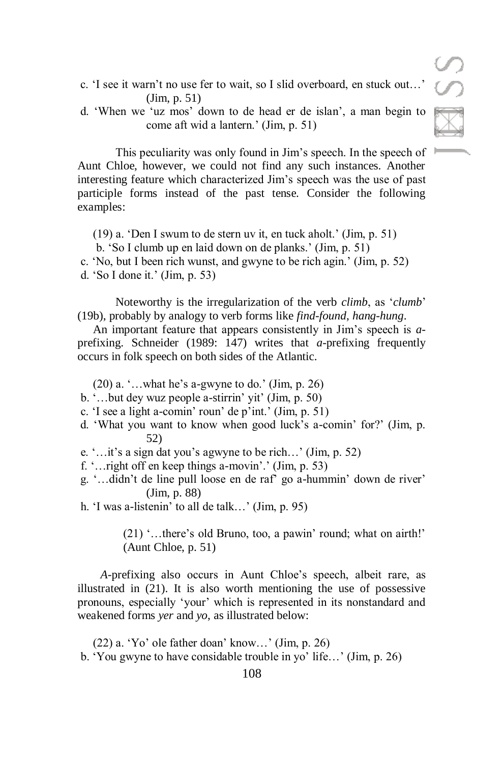- c. 'I see it warn't no use fer to wait, so I slid overboard, en stuck out…' (Jim, p. 51)
- d. 'When we 'uz mos' down to de head er de islan', a man begin to come aft wid a lantern.' (Jim, p. 51)

This peculiarity was only found in Jim's speech. In the speech of  $\blacksquare$ Aunt Chloe, however, we could not find any such instances. Another interesting feature which characterized Jim's speech was the use of past participle forms instead of the past tense. Consider the following examples:

(19) a. 'Den I swum to de stern uv it, en tuck aholt.' (Jim, p. 51) b. 'So I clumb up en laid down on de planks.' (Jim, p. 51) c. 'No, but I been rich wunst, and gwyne to be rich agin.' (Jim, p. 52) d. 'So I done it.' (Jim, p. 53)

Noteworthy is the irregularization of the verb *climb*, as '*clumb*' (19b), probably by analogy to verb forms like *find*-*found*, *hang*-*hung*.

An important feature that appears consistently in Jim's speech is *a*prefixing. Schneider (1989: 147) writes that *a*-prefixing frequently occurs in folk speech on both sides of the Atlantic.

 $(20)$  a. '...what he's a-gwyne to do.' (Jim, p. 26)

- b. '…but dey wuz people a-stirrin' yit' (Jim, p. 50)
- c. 'I see a light a-comin' roun' de p'int.' (Jim, p. 51)
- d. 'What you want to know when good luck's a-comin' for?' (Jim, p. 52)
- e. '…it's a sign dat you's agwyne to be rich…' (Jim, p. 52)

f. '…right off en keep things a-movin'.' (Jim, p. 53)

g. '…didn't de line pull loose en de raf' go a-hummin' down de river' (Jim, p. 88)

h. 'I was a-listenin' to all de talk…' (Jim, p. 95)

(21) '…there's old Bruno, too, a pawin' round; what on airth!' (Aunt Chloe, p. 51)

*A*-prefixing also occurs in Aunt Chloe's speech, albeit rare, as illustrated in (21). It is also worth mentioning the use of possessive pronouns, especially 'your' which is represented in its nonstandard and weakened forms *yer* and *yo*, as illustrated below:

(22) a. 'Yo' ole father doan' know…' (Jim, p. 26) b. 'You gwyne to have considable trouble in yo' life…' (Jim, p. 26)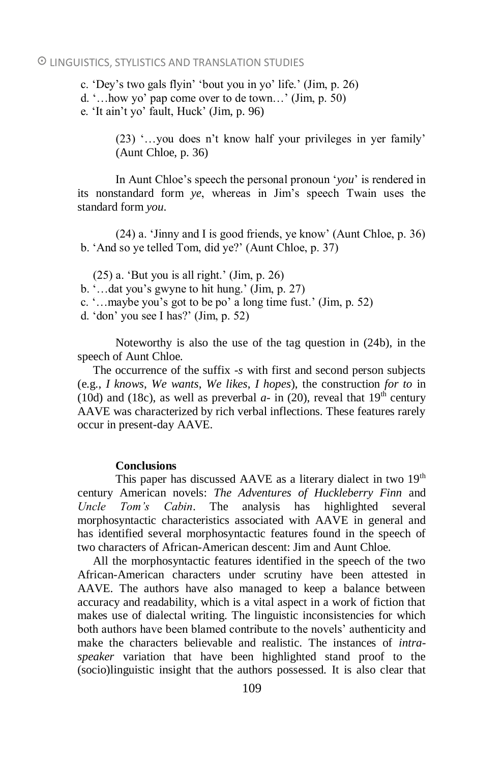c. 'Dey's two gals flyin' 'bout you in yo' life.' (Jim, p. 26)

d. '…how yo' pap come over to de town…' (Jim, p. 50)

e. 'It ain't yo' fault, Huck' (Jim, p. 96)

(23) '…you does n't know half your privileges in yer family' (Aunt Chloe, p. 36)

In Aunt Chloe's speech the personal pronoun '*you*' is rendered in its nonstandard form *ye*, whereas in Jim's speech Twain uses the standard form *you*.

(24) a. 'Jinny and I is good friends, ye know' (Aunt Chloe, p. 36) b. 'And so ye telled Tom, did ye?' (Aunt Chloe, p. 37)

(25) a. 'But you is all right.' (Jim, p. 26)

- b. '…dat you's gwyne to hit hung.' (Jim, p. 27)
- c. '…maybe you's got to be po' a long time fust.' (Jim, p. 52)
- d. 'don' you see I has?' (Jim, p. 52)

Noteworthy is also the use of the tag question in (24b), in the speech of Aunt Chloe.

The occurrence of the suffix -*s* with first and second person subjects (e.g., *I knows*, *We wants*, *We likes*, *I hopes*), the construction *for to* in (10d) and (18c), as well as preverbal  $a$ - in (20), reveal that 19<sup>th</sup> century AAVE was characterized by rich verbal inflections. These features rarely occur in present-day AAVE.

# **Conclusions**

This paper has discussed AAVE as a literary dialect in two  $19<sup>th</sup>$ century American novels: *The Adventures of Huckleberry Finn* and *Uncle Tom's Cabin*. The analysis has highlighted several morphosyntactic characteristics associated with AAVE in general and has identified several morphosyntactic features found in the speech of two characters of African-American descent: Jim and Aunt Chloe.

All the morphosyntactic features identified in the speech of the two African-American characters under scrutiny have been attested in AAVE. The authors have also managed to keep a balance between accuracy and readability, which is a vital aspect in a work of fiction that makes use of dialectal writing. The linguistic inconsistencies for which both authors have been blamed contribute to the novels' authenticity and make the characters believable and realistic. The instances of *intraspeaker* variation that have been highlighted stand proof to the (socio)linguistic insight that the authors possessed. It is also clear that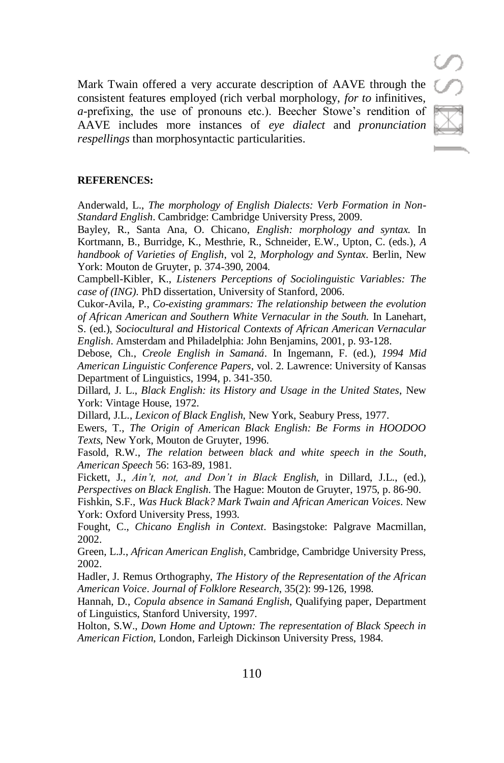Mark Twain offered a very accurate description of AAVE through the consistent features employed (rich verbal morphology, *for to* infinitives, *a*-prefixing, the use of pronouns etc.). Beecher Stowe's rendition of AAVE includes more instances of *eye dialect* and *pronunciation respellings* than morphosyntactic particularities.

#### **REFERENCES:**

Anderwald, L., *The morphology of English Dialects: Verb Formation in Non-Standard English*. Cambridge: Cambridge University Press, 2009.

Bayley, R., Santa Ana, O. Chicano, *English: morphology and syntax.* In Kortmann, B., Burridge, K., Mesthrie, R., Schneider, E.W., Upton, C. (eds.), *A handbook of Varieties of English*, vol 2, *Morphology and Syntax*. Berlin, New York: Mouton de Gruyter, p. 374-390, 2004.

Campbell-Kibler, K., *Listeners Perceptions of Sociolinguistic Variables: The case of (ING)*. PhD dissertation, University of Stanford, 2006.

Cukor-Avila, P., *Co-existing grammars: The relationship between the evolution of African American and Southern White Vernacular in the South.* In Lanehart, S. (ed.), *Sociocultural and Historical Contexts of African American Vernacular English*. Amsterdam and Philadelphia: John Benjamins, 2001, p. 93-128.

Debose, Ch., *Creole English in Samaná*. In Ingemann, F. (ed.), *1994 Mid American Linguistic Conference Papers*, vol. 2. Lawrence: University of Kansas Department of Linguistics, 1994, p. 341-350.

Dillard, J. L., *Black English: its History and Usage in the United States*, New York: Vintage House, 1972.

Dillard, J.L., *Lexicon of Black English*, New York, Seabury Press, 1977.

Ewers, T., *The Origin of American Black English: Be Forms in HOODOO Texts*, New York, Mouton de Gruyter, 1996.

Fasold, R.W., *The relation between black and white speech in the South*, *American Speech* 56: 163-89, 1981.

Fickett, J., *Ain't, not, and Don't in Black English*, in Dillard, J.L., (ed.), *Perspectives on Black English*. The Hague: Mouton de Gruyter, 1975, p. 86-90.

Fishkin, S.F., *Was Huck Black? Mark Twain and African American Voices*. New York: Oxford University Press, 1993.

Fought, C., *Chicano English in Context*. Basingstoke: Palgrave Macmillan, 2002.

Green, L.J., *African American English*, Cambridge, Cambridge University Press, 2002.

Hadler, J. Remus Orthography, *The History of the Representation of the African American Voice*. *Journal of Folklore Research*, 35(2): 99-126, 1998.

Hannah, D., *Copula absence in Samaná English*, Qualifying paper, Department of Linguistics, Stanford University, 1997.

Holton, S.W., *Down Home and Uptown: The representation of Black Speech in American Fiction*, London, Farleigh Dickinson University Press, 1984.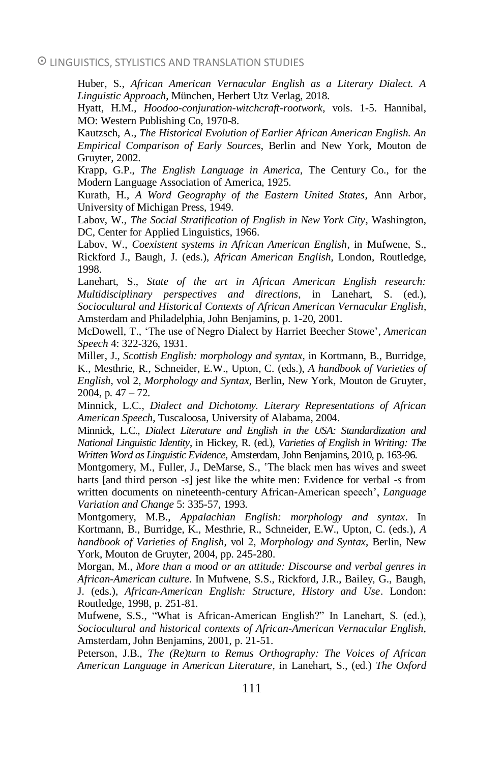Huber, S., *African American Vernacular English as a Literary Dialect. A Linguistic Approach*, München, Herbert Utz Verlag, 2018.

Hyatt, H.M., *Hoodoo-conjuration-witchcraft-rootwork*, vols. 1-5. Hannibal, MO: Western Publishing Co, 1970-8.

Kautzsch, A., *The Historical Evolution of Earlier African American English. An Empirical Comparison of Early Sources*, Berlin and New York, Mouton de Gruyter, 2002.

Krapp, G.P., *The English Language in America*, The Century Co., for the Modern Language Association of America, 1925.

Kurath, H., *A Word Geography of the Eastern United States*, Ann Arbor, University of Michigan Press, 1949.

Labov, W., *The Social Stratification of English in New York City*, Washington, DC, Center for Applied Linguistics, 1966.

Labov, W., *Coexistent systems in African American English*, in Mufwene, S., Rickford J., Baugh, J. (eds.), *African American English*, London, Routledge, 1998.

Lanehart, S., *State of the art in African American English research: Multidisciplinary perspectives and directions*, in Lanehart, S. (ed.), *Sociocultural and Historical Contexts of African American Vernacular English*, Amsterdam and Philadelphia, John Benjamins, p. 1-20, 2001.

McDowell, T., 'The use of Negro Dialect by Harriet Beecher Stowe', *American Speech* 4: 322-326, 1931.

Miller, J., *Scottish English: morphology and syntax*, in Kortmann, B., Burridge, K., Mesthrie, R., Schneider, E.W., Upton, C. (eds.), *A handbook of Varieties of English*, vol 2, *Morphology and Syntax*, Berlin, New York, Mouton de Gruyter,  $2004$ , p.  $47 - 72$ .

Minnick, L.C., *Dialect and Dichotomy. Literary Representations of African American Speech*, Tuscaloosa, University of Alabama, 2004.

Minnick, L.C., *Dialect Literature and English in the USA: Standardization and National Linguistic Identity*, in Hickey, R. (ed.), *Varieties of English in Writing: The Written Word as Linguistic Evidence*, Amsterdam, John Benjamins, 2010, p. 163-96.

Montgomery, M., Fuller, J., DeMarse, S., 'The black men has wives and sweet harts [and third person -*s*] jest like the white men: Evidence for verbal -*s* from written documents on nineteenth-century African-American speech', *Language Variation and Change* 5: 335-57, 1993.

Montgomery, M.B., *Appalachian English: morphology and syntax*. In Kortmann, B., Burridge, K., Mesthrie, R., Schneider, E.W., Upton, C. (eds.), *A handbook of Varieties of English*, vol 2, *Morphology and Syntax*, Berlin, New York, Mouton de Gruyter, 2004, pp. 245-280.

Morgan, M., *More than a mood or an attitude: Discourse and verbal genres in African-American culture*. In Mufwene, S.S., Rickford, J.R., Bailey, G., Baugh, J. (eds.), *African-American English: Structure, History and Use*. London: Routledge, 1998, p. 251-81.

Mufwene, S.S., "What is African-American English?" In Lanehart, S. (ed.), *Sociocultural and historical contexts of African-American Vernacular English*, Amsterdam, John Benjamins, 2001, p. 21-51.

Peterson, J.B., *The (Re)turn to Remus Orthography: The Voices of African American Language in American Literature*, in Lanehart, S., (ed.) *The Oxford*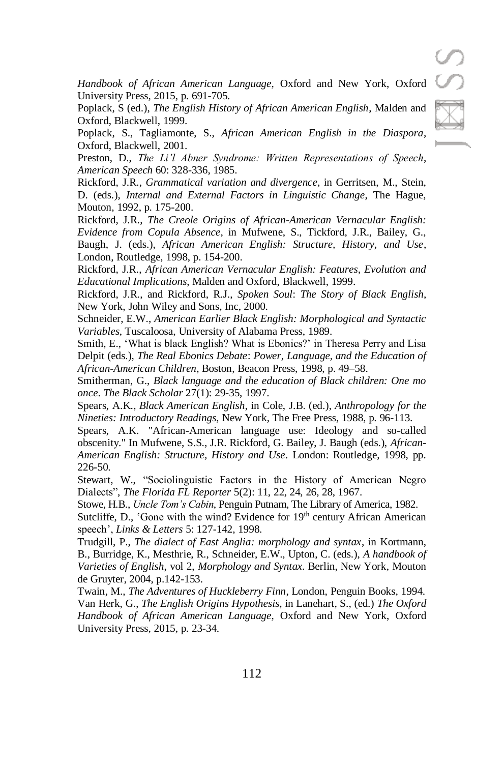*Handbook of African American Language*, Oxford and New York, Oxford University Press, 2015, p. 691-705.

Poplack, S (ed.), *The English History of African American English*, Malden and Oxford, Blackwell, 1999.

Poplack, S., Tagliamonte, S., *African American English in the Diaspora*, Oxford, Blackwell, 2001.

Preston, D., *The Li'l Abner Syndrome: Written Representations of Speech*, *American Speech* 60: 328-336, 1985.

Rickford, J.R., *Grammatical variation and divergence*, in Gerritsen, M., Stein, D. (eds.), *Internal and External Factors in Linguistic Change*, The Hague, Mouton, 1992, p. 175-200.

Rickford, J.R., *The Creole Origins of African-American Vernacular English: Evidence from Copula Absence*, in Mufwene, S., Tickford, J.R., Bailey, G., Baugh, J. (eds.), *African American English: Structure, History, and Use*, London, Routledge, 1998, p. 154-200.

Rickford, J.R., *African American Vernacular English: Features, Evolution and Educational Implications*, Malden and Oxford, Blackwell, 1999.

Rickford, J.R., and Rickford, R.J., *Spoken Soul*: *The Story of Black English*, New York, John Wiley and Sons, Inc, 2000.

Schneider, E.W., *American Earlier Black English: Morphological and Syntactic Variables*, Tuscaloosa, University of Alabama Press, 1989.

Smith, E., 'What is black English? What is Ebonics?' in Theresa Perry and Lisa Delpit (eds.), *The Real Ebonics Debate*: *Power, Language, and the Education of African-American Children*, Boston, Beacon Press, 1998, p. 49–58.

Smitherman, G., *Black language and the education of Black children: One mo once*. *The Black Scholar* 27(1): 29-35, 1997.

Spears, A.K., *Black American English*, in Cole, J.B. (ed.), *Anthropology for the Nineties: Introductory Readings*, New York, The Free Press, 1988, p. 96-113.

Spears, A.K. "African-American language use: Ideology and so-called obscenity." In Mufwene, S.S., J.R. Rickford, G. Bailey, J. Baugh (eds.), *African-American English: Structure, History and Use*. London: Routledge, 1998, pp. 226-50.

Stewart, W., "Sociolinguistic Factors in the History of American Negro Dialects", *The Florida FL Reporter* 5(2): 11, 22, 24, 26, 28, 1967.

Stowe, H.B., *Uncle Tom's Cabin*, Penguin Putnam, The Library of America, 1982.

Sutcliffe, D., 'Gone with the wind? Evidence for  $19<sup>th</sup>$  century African American speech', *Links & Letters* 5: 127-142, 1998.

Trudgill, P., *The dialect of East Anglia: morphology and syntax*, in Kortmann, B., Burridge, K., Mesthrie, R., Schneider, E.W., Upton, C. (eds.), *A handbook of Varieties of English*, vol 2, *Morphology and Syntax*. Berlin, New York, Mouton de Gruyter, 2004, p.142-153.

Twain, M., *The Adventures of Huckleberry Finn*, London, Penguin Books, 1994. Van Herk, G., *The English Origins Hypothesis*, in Lanehart, S., (ed.) *The Oxford Handbook of African American Language*, Oxford and New York, Oxford University Press, 2015, p. 23-34.